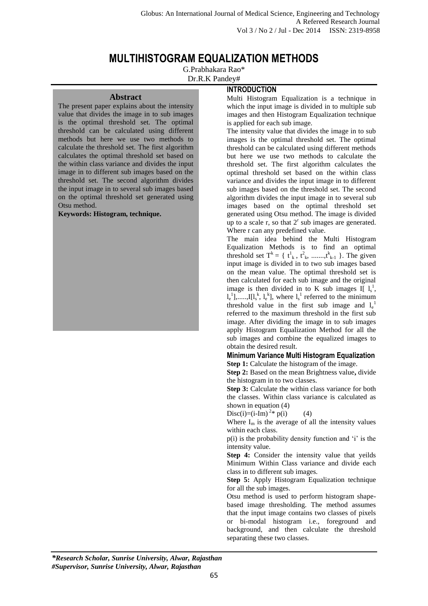# **MULTIHISTOGRAM EQUALIZATION METHODS**

G.Prabhakara Rao\* Dr.R.K Pandey#

#### **Abstract**

The present paper explains about the intensity value that divides the image in to sub images is the optimal threshold set. The optimal threshold can be calculated using different methods but here we use two methods to calculate the threshold set. The first algorithm calculates the optimal threshold set based on the within class variance and divides the input image in to different sub images based on the threshold set. The second algorithm divides the input image in to several sub images based on the optimal threshold set generated using Otsu method.

#### **Keywords: Histogram, technique.**

# **INTRODUCTION**

Multi Histogram Equalization is a technique in which the input image is divided in to multiple sub images and then Histogram Equalization technique is applied for each sub image.

The intensity value that divides the image in to sub images is the optimal threshold set. The optimal threshold can be calculated using different methods but here we use two methods to calculate the threshold set. The first algorithm calculates the optimal threshold set based on the within class variance and divides the input image in to different sub images based on the threshold set. The second algorithm divides the input image in to several sub images based on the optimal threshold set generated using Otsu method. The image is divided up to a scale  $r$ , so that  $2<sup>r</sup>$  sub images are generated. Where r can any predefined value.

The main idea behind the Multi Histogram Equalization Methods is to find an optimal threshold set  $T^k = \{ t_{k}^1, t_{k}^2, \dots, t_{k-1}^k \}$ . The given input image is divided in to two sub images based on the mean value. The optimal threshold set is then calculated for each sub image and the original image is then divided in to K sub images I[ $l_s^1$ ,  $l_e^1$ ,.....,I[ $l_s^k$ ,  $l_e^k$ ], where  $l_s^1$  referred to the minimum threshold value in the first sub image and  $l_e$ <sup>1</sup> referred to the maximum threshold in the first sub image. After dividing the image in to sub images apply Histogram Equalization Method for all the sub images and combine the equalized images to obtain the desired result.

### **Minimum Variance Multi Histogram Equalization Step 1:** Calculate the histogram of the image.

**Step 2:** Based on the mean Brightness value**,** divide the histogram in to two classes.

**Step 3:** Calculate the within class variance for both the classes. Within class variance is calculated as shown in equation (4)

Disc(i)=(i-Im)<sup>2\*</sup> p(i) (4)

Where  $I_m$  is the average of all the intensity values within each class.

 $p(i)$  is the probability density function and  $'i'$  is the intensity value.

**Step 4:** Consider the intensity value that yeilds Minimum Within Class variance and divide each class in to different sub images.

**Step 5:** Apply Histogram Equalization technique for all the sub images.

Otsu method is used to perform histogram shapebased image thresholding. The method assumes that the input image contains two classes of pixels or bi-modal histogram i.e., foreground and background, and then calculate the threshold separating these two classes.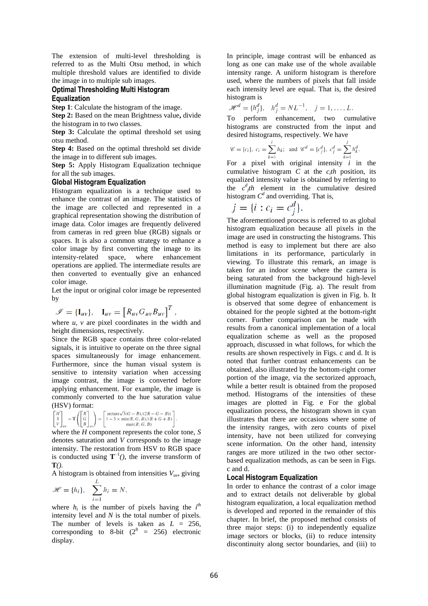The extension of multi-level thresholding is referred to as the Multi Otsu method, in which multiple threshold values are identified to divide the image in to multiple sub images.

### **Optimal Thresholding Multi Histogram Equalization**

**Step 1**: Calculate the histogram of the image.

**Step 2:** Based on the mean Brightness value**,** divide the histogram in to two classes.

**Step 3:** Calculate the optimal threshold set using otsu method.

**Step 4:** Based on the optimal threshold set divide the image in to different sub images.

**Step 5:** Apply Histogram Equalization technique for all the sub images.

#### **Global Histogram Equalization**

Histogram equalization is a technique used to enhance the contrast of an image. The statistics of the image are collected and represented in a graphical representation showing the distribution of image data. Color images are frequently delivered from cameras in red green blue (RGB) signals or spaces. It is also a common strategy to enhance a color image by first converting the image to its intensity-related space, where enhancement operations are applied. The intermediate results are then converted to eventually give an enhanced color image.

Let the input or original color image be represented by

$$
\mathscr{I} = \{\mathbf{I}_{uv}\}, \quad \mathbf{I}_{uv} = \left[R_{uv}G_{uv}B_{uv}\right]^T,
$$

where  $u$ ,  $v$  are pixel coordinates in the width and height dimensions, respectively.

Since the RGB space contains three color-related signals, it is intuitive to operate on the three signal spaces simultaneously for image enhancement. Furthermore, since the human visual system is sensitive to intensity variation when accessing image contrast, the image is converted before applying enhancement. For example, the image is commonly converted to the hue saturation value (HSV) format:

$$
\begin{bmatrix} H \\ S \\ V \end{bmatrix}_{uv} = \mathbf{T} \left( \begin{bmatrix} R \\ G \\ B \end{bmatrix}_{uv} \right) = \begin{bmatrix} \arctan(\sqrt{3}(G-B)/(2R-G-B)) \\ 1-3 \times \min(R,G,B)/(R+G+B) \\ \max(R,G,B) \end{bmatrix},
$$

where the *H* component represents the color tone, *S*  denotes saturation and *V* corresponds to the image intensity. The restoration from HSV to RGB space is conducted using  $T^{-1}$ (), the inverse transform of **T***()*.

A histogram is obtained from intensities *Vuv*, giving

$$
\mathscr{H} = \{h_i\}, \quad \sum_{i=1}^L h_i = N,
$$

where  $h_i$  is the number of pixels having the  $i^{th}$ intensity level and *N* is the total number of pixels. The number of levels is taken as  $L = 256$ , corresponding to 8-bit  $(2^8 = 256)$  electronic display.

In principle, image contrast will be enhanced as long as one can make use of the whole available intensity range. A uniform histogram is therefore used, where the numbers of pixels that fall inside each intensity level are equal. That is, the desired histogram is

$$
\mathcal{H}^d = \{h_j^d\}, \quad h_j^d = NL^{-1}, \quad j = 1, \dots, L.
$$

To perform enhancement, two cumulative histograms are constructed from the input and desired histograms, respectively. We have

$$
\mathscr{C} = \{c_i\}, \ c_i = \sum_{k=1}^i h_k; \text{ and } \mathscr{C}^d = \{c_j^d\}, \ c_j^d = \sum_{k=1}^j h_k^d.
$$

For a pixel with original intensity  $i$  in the cumulative histogram  $C$  at the  $c_i$ th position, its equalized intensity value is obtained by referring to the  $c^d_j$ th element in the cumulative desired histogram  $C^d$  and overriding. That is,

$$
j = \{i : c_i = c_j^d\}.
$$

The aforementioned process is referred to as global histogram equalization because all pixels in the image are used in constructing the histograms. This method is easy to implement but there are also limitations in its performance, particularly in viewing. To illustrate this remark, an image is taken for an indoor scene where the camera is being saturated from the background high-level illumination magnitude (Fig. a). The result from global histogram equalization is given in Fig. b. It is observed that some degree of enhancement is obtained for the people sighted at the bottom-right corner. Further comparison can be made with results from a canonical implementation of a local equalization scheme as well as the proposed approach, discussed in what follows, for which the results are shown respectively in Figs. c and d. It is noted that further contrast enhancements can be obtained, also illustrated by the bottom-right corner portion of the image, via the sectorized approach, while a better result is obtained from the proposed method. Histograms of the intensities of these images are plotted in Fig. e For the global equalization process, the histogram shown in cyan illustrates that there are occasions where some of the intensity ranges, with zero counts of pixel intensity, have not been utilized for conveying scene information. On the other hand, intensity ranges are more utilized in the two other sectorbased equalization methods, as can be seen in Figs. c and d.

## **Local Histogram Equalization**

In order to enhance the contrast of a color image and to extract details not deliverable by global histogram equalization, a local equalization method is developed and reported in the remainder of this chapter. In brief, the proposed method consists of three major steps: (i) to independently equalize image sectors or blocks, (ii) to reduce intensity discontinuity along sector boundaries, and (iii) to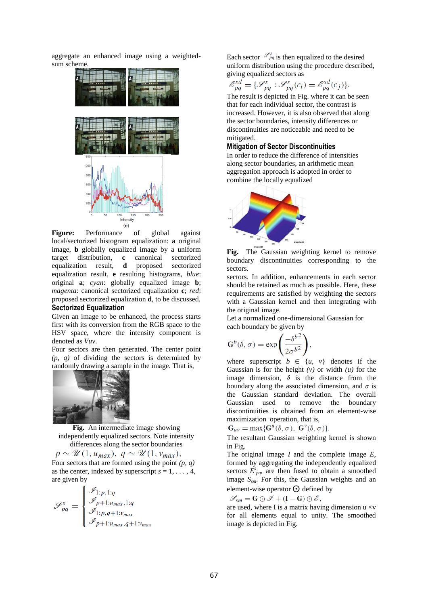aggregate an enhanced image using a weightedsum scheme.



**Figure:** Performance of global against local/sectorized histogram equalization: **a** original image, **b** globally equalized image by a uniform target distribution, **c** canonical sectorized equalization result, **d** proposed sectorized equalization result, **e** resulting histograms, *blue*: original **a**; *cyan*: globally equalized image **b**; *magenta*: canonical sectorized equalization **c**; *red*: proposed sectorized equalization **d**, to be discussed.

## **Sectorized Equalization**

Given an image to be enhanced, the process starts first with its conversion from the RGB space to the HSV space, where the intensity component is denoted as *Vuv*.

Four sectors are then generated. The center point *(p, q)* of dividing the sectors is determined by randomly drawing a sample in the image. That is,



**Fig.** An intermediate image showing independently equalized sectors. Note intensity differences along the sector boundaries

 $p \sim \mathcal{U}(1, u_{max}), q \sim \mathcal{U}(1, v_{max}),$ Four sectors that are formed using the point *(p, q)*  as the center, indexed by superscript  $s = 1, \ldots, 4$ , are given by

$$
\mathcal{S}_{pq} = \begin{cases} \mathcal{I}_{1:p,1:q} \\ \mathcal{I}_{p+1:u_{max},1:q} \\ \mathcal{I}_{1:p,q+1:v_{max}} \\ \mathcal{I}_{p+1:u_{max},q+1:v_{max}} \end{cases}
$$

Each sector  $\mathcal{S}_{pq}^s$  is then equalized to the desired uniform distribution using the procedure described, giving equalized sectors as

$$
\mathcal{E}_{pq}^{sd} = \{ \mathcal{S}_{pq}^s : \mathcal{S}_{pq}^s(c_i) = \mathcal{E}_{pq}^{sd}(c_j) \}.
$$

The result is depicted in Fig. where it can be seen that for each individual sector, the contrast is increased. However, it is also observed that along the sector boundaries, intensity differences or discontinuities are noticeable and need to be mitigated.

#### **Mitigation of Sector Discontinuities**

In order to reduce the difference of intensities along sector boundaries, an arithmetic mean aggregation approach is adopted in order to combine the locally equalized



**Fig.** The Gaussian weighting kernel to remove boundary discontinuities corresponding to the sectors.

sectors. In addition, enhancements in each sector should be retained as much as possible. Here, these requirements are satisfied by weighting the sectors with a Gaussian kernel and then integrating with the original image.

Let a normalized one-dimensional Gaussian for each boundary be given by

$$
G^{b}(\delta, \sigma) = \exp\left(\frac{-\delta^{b^2}}{2\sigma^{b^2}}\right),
$$

where superscript  $b \in \{u, v\}$  denotes if the Gaussian is for the height *(v)* or width *(u)* for the image dimension,  $\delta$  is the distance from the boundary along the associated dimension, and  $\sigma$  is the Gaussian standard deviation. The overall Gaussian used to remove the boundary discontinuities is obtained from an element-wise maximization operation, that is,

$$
G_{uv} = \max\{G^u(\delta, \sigma), G^v(\delta, \sigma)\}.
$$

The resultant Gaussian weighting kernel is shown in Fig.

The original image *I* and the complete image *E*, formed by aggregating the independently equalized sectors  $E_{pq}^s$ , are then fused to obtain a smoothed image *Ssm*. For this, the Gaussian weights and an element-wise operator  $\odot$  defined by

$$
\mathscr{S}_{sm} = \mathbf{G} \odot \mathscr{I} + (\mathbf{I} - \mathbf{G}) \odot \mathscr{E},
$$

are used, where I is a matrix having dimension  $u \times v$ for all elements equal to unity. The smoothed image is depicted in Fig.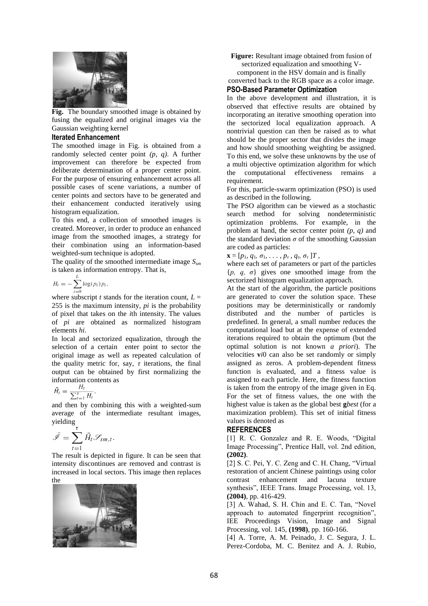

**Fig.** The boundary smoothed image is obtained by fusing the equalized and original images via the Gaussian weighting kernel

## **Iterated Enhancement**

The smoothed image in Fig. is obtained from a randomly selected center point *(p, q)*. A further improvement can therefore be expected from deliberate determination of a proper center point. For the purpose of ensuring enhancement across all possible cases of scene variations, a number of center points and sectors have to be generated and their enhancement conducted iteratively using histogram equalization.

To this end, a collection of smoothed images is created. Moreover, in order to produce an enhanced image from the smoothed images, a strategy for their combination using an information-based weighted-sum technique is adopted.

The quality of the smoothed intermediate image *Ssm* is taken as information entropy. That is,

$$
H_t = -\sum_{i=0}^{L} \log(p_i) p_i,
$$

where subscript *t* stands for the iteration count,  $L =$ 255 is the maximum intensity, *pi* is the probability of pixel that takes on the *i*th intensity. The values of *pi* are obtained as normalized histogram elements *hi*.

In local and sectorized equalization, through the selection of a certain enter point to sector the original image as well as repeated calculation of the quality metric for, say,  $\tau$  iterations, the final output can be obtained by first normalizing the information contents as

$$
\bar{H}_t = \frac{H_t}{\sum_{t=1}^{\tau} H_t},
$$

and then by combining this with a weighted-sum average of the intermediate resultant images, yielding

$$
\bar{\mathscr{I}} = \sum_{t=1}^{\iota} \bar{H}_t \mathscr{S}_{sm,t}.
$$

The result is depicted in figure. It can be seen that intensity discontinues are removed and contrast is increased in local sectors. This image then replaces the



**Figure:** Resultant image obtained from fusion of sectorized equalization and smoothing Vcomponent in the HSV domain and is finally

converted back to the RGB space as a color image.

# **PSO-Based Parameter Optimization**

In the above development and illustration, it is observed that effective results are obtained by incorporating an iterative smoothing operation into the sectorized local equalization approach. A nontrivial question can then be raised as to what should be the proper sector that divides the image and how should smoothing weighting be assigned. To this end, we solve these unknowns by the use of a multi objective optimization algorithm for which the computational effectiveness remains a requirement.

For this, particle-swarm optimization (PSO) is used as described in the following.

The PSO algorithm can be viewed as a stochastic search method for solving nondeterministic optimization problems. For example, in the problem at hand, the sector center point *(p, q)* and the standard deviation  $\sigma$  of the smoothing Gaussian are coded as particles:

 $\mathbf{x} = [p_1, q_1, \sigma_1, \ldots, p_{\tau}, q_{\tau}, \sigma_{\tau}]T$ ,

where each set of parameters or part of the particles {*p, q, σ*} gives one smoothed image from the sectorized histogram equalization approach.

At the start of the algorithm, the particle positions are generated to cover the solution space. These positions may be deterministically or randomly distributed and the number of particles is predefined. In general, a small number reduces the computational load but at the expense of extended iterations required to obtain the optimum (but the optimal solution is not known *a priori*). The velocities **v***i*0 can also be set randomly or simply assigned as zeros. A problem-dependent fitness function is evaluated, and a fitness value is assigned to each particle. Here, the fitness function is taken from the entropy of the image given in Eq. For the set of fitness values, the one with the highest value is taken as the global best **g***best* (for a maximization problem). This set of initial fitness values is denoted as

## **REFERENCES**

[1] R. C. Gonzalez and R. E. Woods, "Digital" Image Processing", Prentice Hall, vol. 2nd edition, **(2002)**.

[2] S. C. Pei, Y. C. Zeng and C. H. Chang, "Virtual restoration of ancient Chinese paintings using color contrast enhancement and lacuna texture synthesis", IEEE Trans. Image Processing, vol. 13, **(2004)**, pp. 416-429.

[3] A. Wahad, S. H. Chin and E. C. Tan, "Novel approach to automated fingerprint recognition", IEE Proceedings Vision, Image and Signal Processing, vol. 145, **(1998)**, pp. 160-166.

[4] A. Torre, A. M. Peinado, J. C. Segura, J. L. Perez-Cordoba, M. C. Benitez and A. J. Rubio,